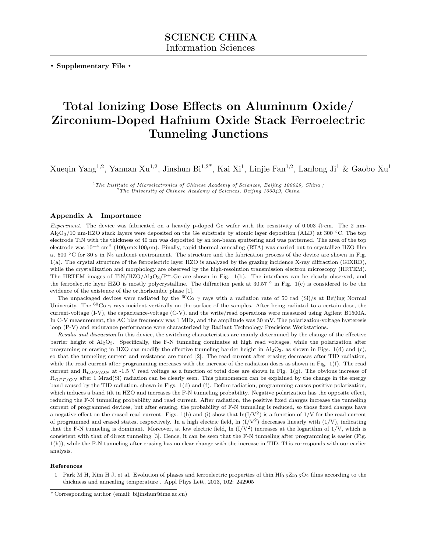. Supplementary File .

## Total Ionizing Dose Effects on Aluminum Oxide/ Zirconium-Doped Hafnium Oxide Stack Ferroelectric Tunneling Junctions

Xueqin Yang<sup>1,2</sup>, Yannan Xu<sup>1,2</sup>, Jinshun Bi<sup>1,2\*</sup>, Kai Xi<sup>1</sup>, Linjie Fan<sup>1,2</sup>, Lanlong Ji<sup>1</sup> & Gaobo Xu<sup>1</sup>

 $1$ The Institute of Microelectronics of Chinese Academy of Sciences, Beijing 100029, China;  $2$ The University of Chinese Academy of Sciences, Beijing 100049, China

## Appendix A Importance

Experiment. The device was fabricated on a heavily p-doped Ge wafer with the resistivity of 0.003  $\Omega$ ·cm. The 2 nm-Al<sub>2</sub>O<sub>3</sub>/10 nm-HZO stack layers were deposited on the Ge substrate by atomic layer deposition (ALD) at 300 °C. The top electrode TiN with the thickness of 40 nm was deposited by an ion-beam sputtering and was patterned. The area of the top electrode was 10−<sup>4</sup> cm<sup>2</sup> (100µm×100µm). Finally, rapid thermal annealing (RTA) was carried out to crystallize HZO film at 500  $\degree$ C for 30 s in N<sub>2</sub> ambient environment. The structure and the fabrication process of the device are shown in Fig. 1(a). The crystal structure of the ferroelectric layer HZO is analyzed by the grazing incidence X-ray diffraction (GIXRD), while the crystallization and morphology are observed by the high-resolution transmission electron microscopy (HRTEM). The HRTEM images of TiN/HZO/Al<sub>2</sub>O<sub>3</sub>/P<sup>+</sup>-Ge are shown in Fig. 1(b). The interfaces can be clearly observed, and the ferroelectric layer HZO is mostly polycrystalline. The diffraction peak at 30.57 ◦ in Fig. 1(c) is considered to be the evidence of the existence of the orthorhombic phase [\[1\]](#page-0-0).

The unpackaged devices were radiated by the <sup>60</sup>Co  $\gamma$  rays with a radiation rate of 50 rad (Si)/s at Beijing Normal University. The  ${}^{60}Co \gamma$  rays incident vertically on the surface of the samples. After being radiated to a certain dose, the current-voltage (I-V), the capacitance-voltage (C-V), and the write/read operations were measured using Agilent B1500A. In C-V measurement, the AC bias frequency was 1 MHz, and the amplitude was 30 mV. The polarization-voltage hysteresis loop (P-V) and endurance performance were characterized by Radiant Technology Precisions Workstations.

Results and discussion.In this device, the switching characteristics are mainly determined by the change of the effective barrier height of Al2O3. Specifically, the F-N tunneling dominates at high read voltages, while the polarization after programing or erasing in HZO can modify the effective tunneling barrier height in  $Al_2O_3$ , as shown in Figs. 1(d) and (e), so that the tunneling current and resistance are tuned [2]. The read current after erasing decreases after TID radiation, while the read current after programming increases with the increase of the radiation doses as shown in Fig. 1(f). The read current and  $R_{OFF/ON}$  at -1.5 V read voltage as a function of total dose are shown in Fig. 1(g). The obvious increase of  $R_{OFF/ON}$  after 1 Mrad(Si) radiation can be clearly seen. This phenomenon can be explained by the change in the energy band caused by the TID radiation, shown in Figs. 1(d) and (f). Before radiation, programming causes positive polarization, which induces a band tilt in HZO and increases the F-N tunneling probability. Negative polarization has the opposite effect, reducing the F-N tunneling probability and read current. After radiation, the positive fixed charges increase the tunneling current of programmed devices, but after erasing, the probability of F-N tunneling is reduced, so those fixed charges have a negative effect on the erased read current. Figs. 1(h) and (i) show that  $\ln(I/V^2)$  is a function of  $1/V$  for the read current of programmed and erased states, respectively. In a high electric field, ln  $(I/V^2)$  decreases linearly with  $(1/V)$ , indicating that the F-N tunneling is dominant. Moreover, at low electric field, ln  $\left(1/V^2\right)$  increases at the logarithm of  $1/V$ , which is consistent with that of direct tunneling [\[3\]](#page-1-0). Hence, it can be seen that the F-N tunneling after programming is easier (Fig. 1(h)), while the F-N tunneling after erasing has no clear change with the increase in TID. This corresponds with our earlier analysis.

## References

<span id="page-0-0"></span>1 Park M H, Kim H J, et al. Evolution of phases and ferroelectric properties of thin  $\text{Hf}_{0.5}\text{Zr}_{0.5}\text{O}_2$  films according to the thickness and annealing temperature . Appl Phys Lett, 2013, 102: 242905

<sup>\*</sup> Corresponding author (email: bijinshun@ime.ac.cn)